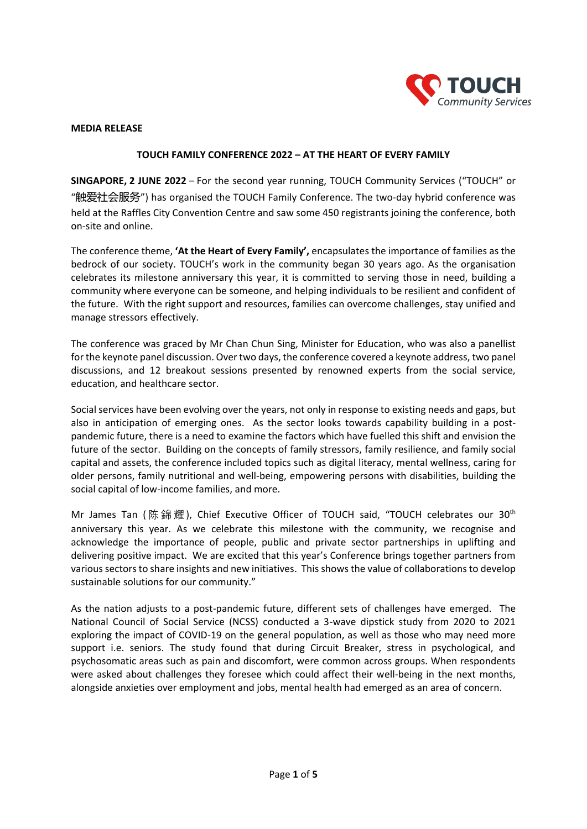

## **MEDIA RELEASE**

## **TOUCH FAMILY CONFERENCE 2022 – AT THE HEART OF EVERY FAMILY**

**SINGAPORE, 2 JUNE 2022** – For the second year running, TOUCH Community Services ("TOUCH" or "触爱社会服务") has organised the TOUCH Family Conference. The two-day hybrid conference was held at the Raffles City Convention Centre and saw some 450 registrants joining the conference, both on-site and online.

The conference theme, **'At the Heart of Every Family',** encapsulates the importance of families as the bedrock of our society. TOUCH's work in the community began 30 years ago. As the organisation celebrates its milestone anniversary this year, it is committed to serving those in need, building a community where everyone can be someone, and helping individuals to be resilient and confident of the future. With the right support and resources, families can overcome challenges, stay unified and manage stressors effectively.

The conference was graced by Mr Chan Chun Sing, Minister for Education, who was also a panellist for the keynote panel discussion. Over two days, the conference covered a keynote address, two panel discussions, and 12 breakout sessions presented by renowned experts from the social service, education, and healthcare sector.

Social services have been evolving over the years, not only in response to existing needs and gaps, but also in anticipation of emerging ones. As the sector looks towards capability building in a postpandemic future, there is a need to examine the factors which have fuelled this shift and envision the future of the sector. Building on the concepts of family stressors, family resilience, and family social capital and assets, the conference included topics such as digital literacy, mental wellness, caring for older persons, family nutritional and well-being, empowering persons with disabilities, building the social capital of low-income families, and more.

Mr James Tan (陈錦耀), Chief Executive Officer of TOUCH said, "TOUCH celebrates our 30<sup>th</sup> anniversary this year. As we celebrate this milestone with the community, we recognise and acknowledge the importance of people, public and private sector partnerships in uplifting and delivering positive impact. We are excited that this year's Conference brings together partners from various sectors to share insights and new initiatives. This showsthe value of collaborations to develop sustainable solutions for our community."

As the nation adjusts to a post-pandemic future, different sets of challenges have emerged. The National Council of Social Service (NCSS) conducted a 3-wave dipstick study from 2020 to 2021 exploring the impact of COVID-19 on the general population, as well as those who may need more support i.e. seniors. The study found that during Circuit Breaker, stress in psychological, and psychosomatic areas such as pain and discomfort, were common across groups. When respondents were asked about challenges they foresee which could affect their well-being in the next months, alongside anxieties over employment and jobs, mental health had emerged as an area of concern.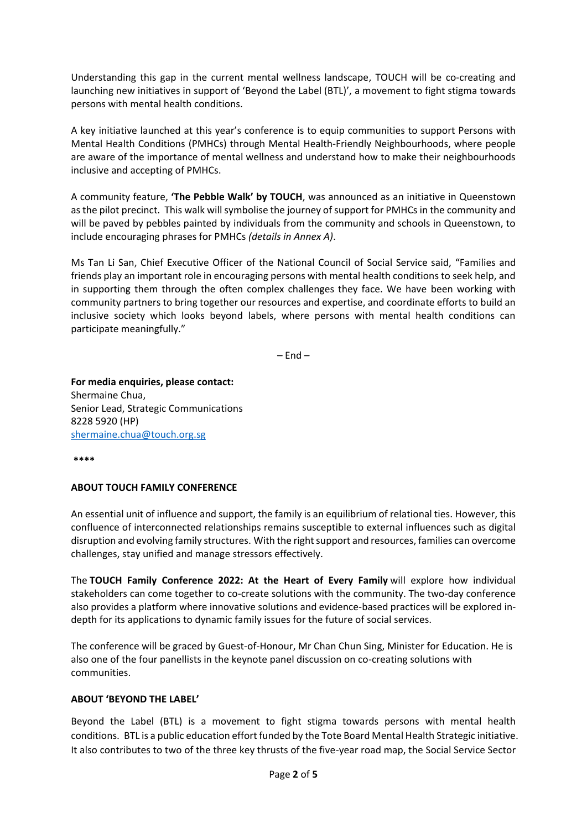Understanding this gap in the current mental wellness landscape, TOUCH will be co-creating and launching new initiatives in support of 'Beyond the Label (BTL)', a movement to fight stigma towards persons with mental health conditions.

A key initiative launched at this year's conference is to equip communities to support Persons with Mental Health Conditions (PMHCs) through Mental Health-Friendly Neighbourhoods, where people are aware of the importance of mental wellness and understand how to make their neighbourhoods inclusive and accepting of PMHCs.

A community feature, **'The Pebble Walk' by TOUCH**, was announced as an initiative in Queenstown as the pilot precinct. This walk will symbolise the journey of support for PMHCs in the community and will be paved by pebbles painted by individuals from the community and schools in Queenstown, to include encouraging phrases for PMHCs *(details in Annex A)*.

Ms Tan Li San, Chief Executive Officer of the National Council of Social Service said, "Families and friends play an important role in encouraging persons with mental health conditions to seek help, and in supporting them through the often complex challenges they face. We have been working with community partners to bring together our resources and expertise, and coordinate efforts to build an inclusive society which looks beyond labels, where persons with mental health conditions can participate meaningfully."

 $-$  End  $-$ 

**For media enquiries, please contact:** Shermaine Chua, Senior Lead, Strategic Communications 8228 5920 (HP) [shermaine.chua@touch.org.sg](mailto:shermaine.chua@touch.org.sg)

**\*\*\*\***

# **ABOUT TOUCH FAMILY CONFERENCE**

An essential unit of influence and support, the family is an equilibrium of relational ties. However, this confluence of interconnected relationships remains susceptible to external influences such as digital disruption and evolving family structures. With the right support and resources, families can overcome challenges, stay unified and manage stressors effectively.

The **TOUCH Family Conference 2022: At the Heart of Every Family** will explore how individual stakeholders can come together to co-create solutions with the community. The two-day conference also provides a platform where innovative solutions and evidence-based practices will be explored indepth for its applications to dynamic family issues for the future of social services.

The conference will be graced by Guest-of-Honour, Mr Chan Chun Sing, Minister for Education. He is also one of the four panellists in the keynote panel discussion on co-creating solutions with communities.

## **ABOUT 'BEYOND THE LABEL'**

Beyond the Label (BTL) is a movement to fight stigma towards persons with mental health conditions. BTL is a public education effort funded by the Tote Board Mental Health Strategic initiative. It also contributes to two of the three key thrusts of the five-year road map, the Social Service Sector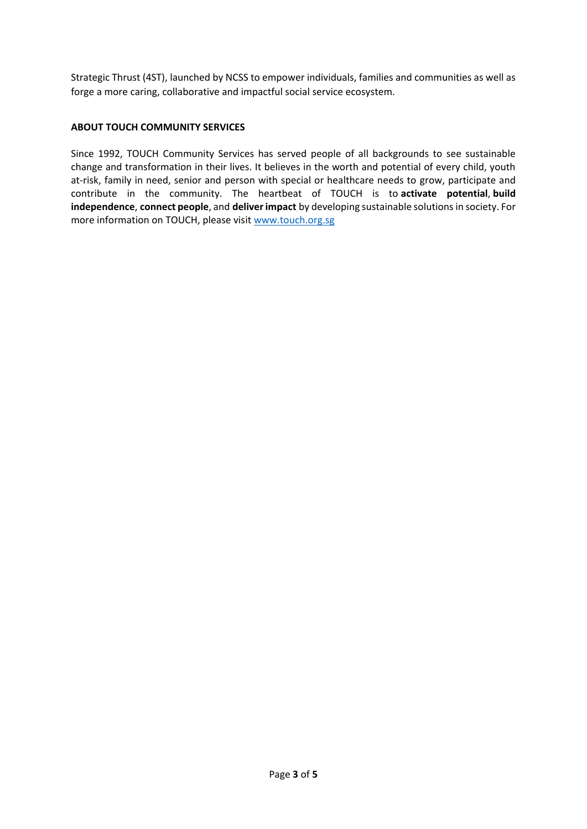Strategic Thrust (4ST), launched by NCSS to empower individuals, families and communities as well as forge a more caring, collaborative and impactful social service ecosystem.

## **ABOUT TOUCH COMMUNITY SERVICES**

Since 1992, TOUCH Community Services has served people of all backgrounds to see sustainable change and transformation in their lives. It believes in the worth and potential of every child, youth at-risk, family in need, senior and person with special or healthcare needs to grow, participate and contribute in the community. The heartbeat of TOUCH is to **activate potential**, **build independence**, **connect people**, and **deliver impact** by developing sustainable solutions in society. For more information on TOUCH, please visit [www.touch.org.sg](http://www.touch.org.sg/)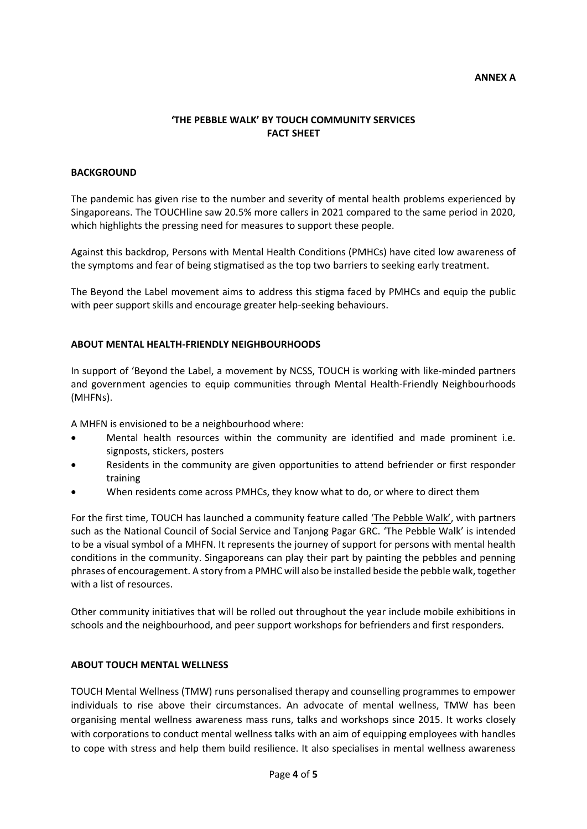#### **ANNEX A**

# **'THE PEBBLE WALK' BY TOUCH COMMUNITY SERVICES FACT SHEET**

## **BACKGROUND**

The pandemic has given rise to the number and severity of mental health problems experienced by Singaporeans. The TOUCHline saw 20.5% more callers in 2021 compared to the same period in 2020, which highlights the pressing need for measures to support these people.

Against this backdrop, Persons with Mental Health Conditions (PMHCs) have cited low awareness of the symptoms and fear of being stigmatised as the top two barriers to seeking early treatment.

The Beyond the Label movement aims to address this stigma faced by PMHCs and equip the public with peer support skills and encourage greater help-seeking behaviours.

### **ABOUT MENTAL HEALTH-FRIENDLY NEIGHBOURHOODS**

In support of 'Beyond the Label, a movement by NCSS, TOUCH is working with like-minded partners and government agencies to equip communities through Mental Health-Friendly Neighbourhoods (MHFNs).

A MHFN is envisioned to be a neighbourhood where:

- Mental health resources within the community are identified and made prominent i.e. signposts, stickers, posters
- Residents in the community are given opportunities to attend befriender or first responder training
- When residents come across PMHCs, they know what to do, or where to direct them

For the first time, TOUCH has launched a community feature called 'The Pebble Walk', with partners such as the National Council of Social Service and Tanjong Pagar GRC. 'The Pebble Walk' is intended to be a visual symbol of a MHFN. It represents the journey of support for persons with mental health conditions in the community. Singaporeans can play their part by painting the pebbles and penning phrases of encouragement. A story from a PMHC will also be installed beside the pebble walk, together with a list of resources.

Other community initiatives that will be rolled out throughout the year include mobile exhibitions in schools and the neighbourhood, and peer support workshops for befrienders and first responders.

## **ABOUT TOUCH MENTAL WELLNESS**

TOUCH Mental Wellness (TMW) runs personalised therapy and counselling programmes to empower individuals to rise above their circumstances. An advocate of mental wellness, TMW has been organising mental wellness awareness mass runs, talks and workshops since 2015. It works closely with corporations to conduct mental wellness talks with an aim of equipping employees with handles to cope with stress and help them build resilience. It also specialises in mental wellness awareness